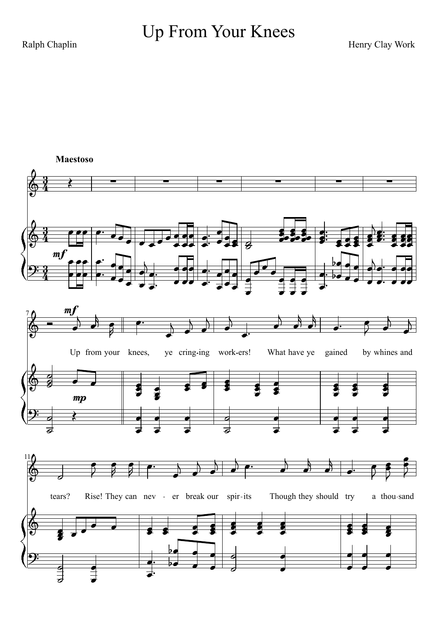## Up From Your Knees

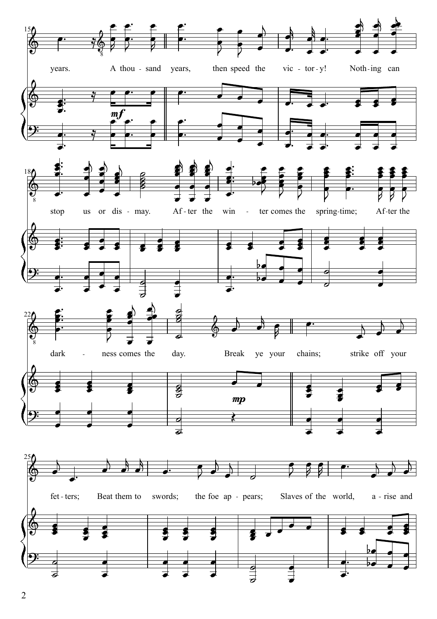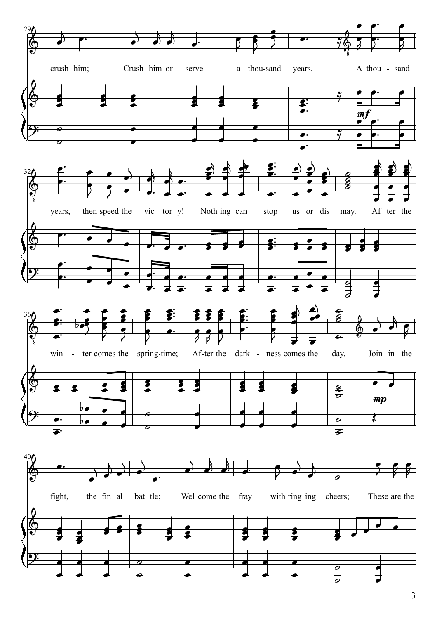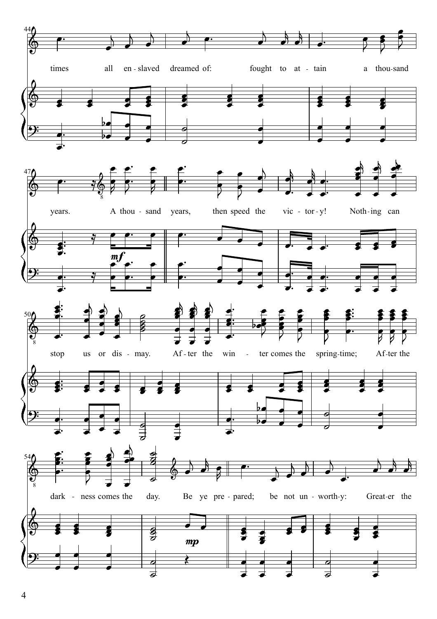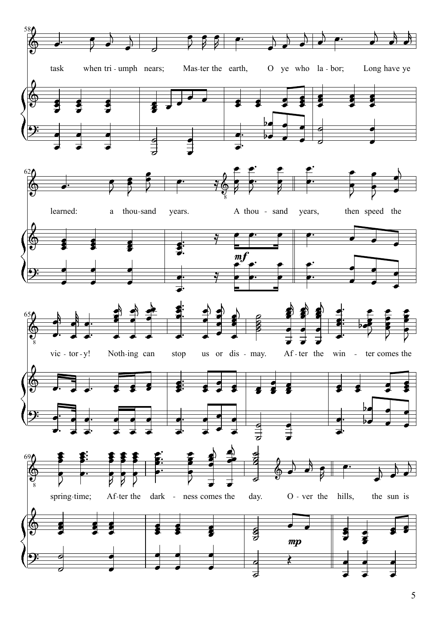

5 6